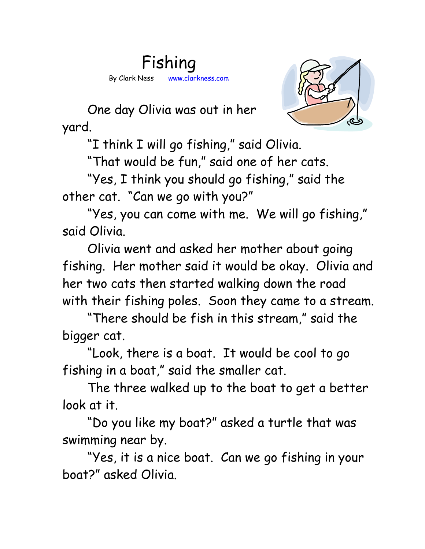



One day Olivia was out in her yard.

"I think I will go fishing," said Olivia.

"That would be fun," said one of her cats.

"Yes, I think you should go fishing," said the other cat. "Can we go with you?"

"Yes, you can come with me. We will go fishing," said Olivia.

Olivia went and asked her mother about going fishing. Her mother said it would be okay. Olivia and her two cats then started walking down the road with their fishing poles. Soon they came to a stream.

"There should be fish in this stream," said the bigger cat.

"Look, there is a boat. It would be cool to go fishing in a boat," said the smaller cat.

The three walked up to the boat to get a better look at it.

"Do you like my boat?" asked a turtle that was swimming near by.

"Yes, it is a nice boat. Can we go fishing in your boat?" asked Olivia.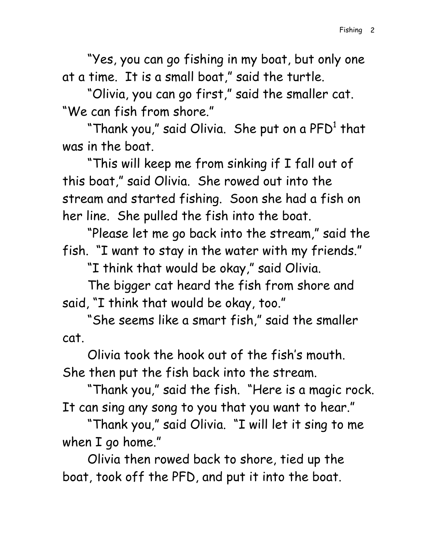"Yes, you can go fishing in my boat, but only one at a time. It is a small boat," said the turtle.

"Olivia, you can go first," said the smaller cat. "We can fish from shore."

"Thank you," said Olivia. She put on a PFD $^{\rm 1}$  that  $\,$ was in the boat.

"This will keep me from sinking if I fall out of this boat," said Olivia. She rowed out into the stream and started fishing. Soon she had a fish on her line. She pulled the fish into the boat.

"Please let me go back into the stream," said the fish. "I want to stay in the water with my friends."

"I think that would be okay," said Olivia.

The bigger cat heard the fish from shore and said, "I think that would be okay, too."

"She seems like a smart fish," said the smaller cat.

Olivia took the hook out of the fish's mouth. She then put the fish back into the stream.

"Thank you," said the fish. "Here is a magic rock. It can sing any song to you that you want to hear."

"Thank you," said Olivia. "I will let it sing to me when I go home."

Olivia then rowed back to shore, tied up the boat, took off the PFD, and put it into the boat.